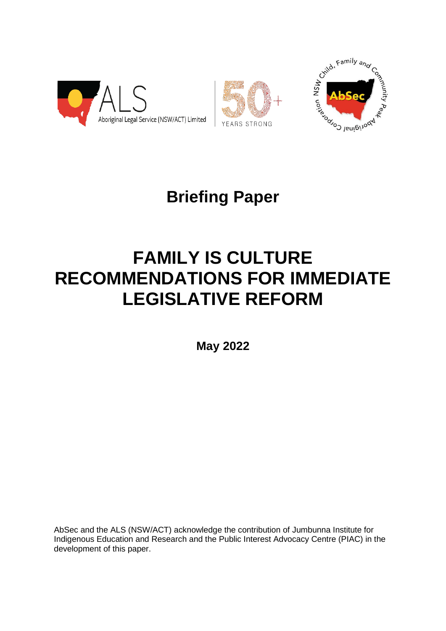





# **Briefing Paper**

# **FAMILY IS CULTURE RECOMMENDATIONS FOR IMMEDIATE LEGISLATIVE REFORM**

**May 2022**

AbSec and the ALS (NSW/ACT) acknowledge the contribution of Jumbunna Institute for Indigenous Education and Research and the Public Interest Advocacy Centre (PIAC) in the development of this paper.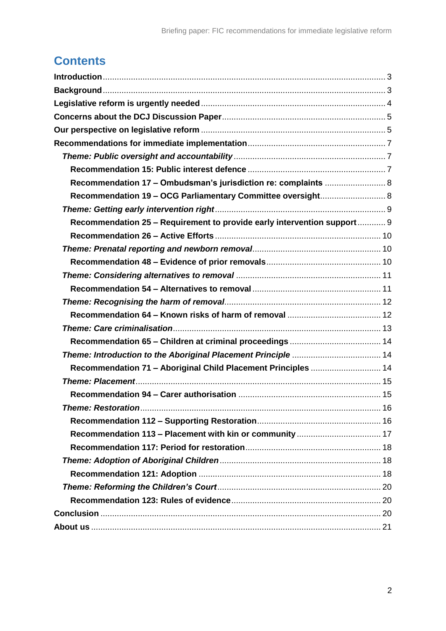# **Contents**

| Recommendation 17 - Ombudsman's jurisdiction re: complaints  8          |  |
|-------------------------------------------------------------------------|--|
| Recommendation 19 - OCG Parliamentary Committee oversight 8             |  |
|                                                                         |  |
| Recommendation 25 - Requirement to provide early intervention support 9 |  |
|                                                                         |  |
|                                                                         |  |
|                                                                         |  |
|                                                                         |  |
|                                                                         |  |
|                                                                         |  |
|                                                                         |  |
|                                                                         |  |
|                                                                         |  |
|                                                                         |  |
| Recommendation 71 - Aboriginal Child Placement Principles  14           |  |
|                                                                         |  |
|                                                                         |  |
|                                                                         |  |
|                                                                         |  |
|                                                                         |  |
|                                                                         |  |
|                                                                         |  |
|                                                                         |  |
|                                                                         |  |
|                                                                         |  |
|                                                                         |  |
|                                                                         |  |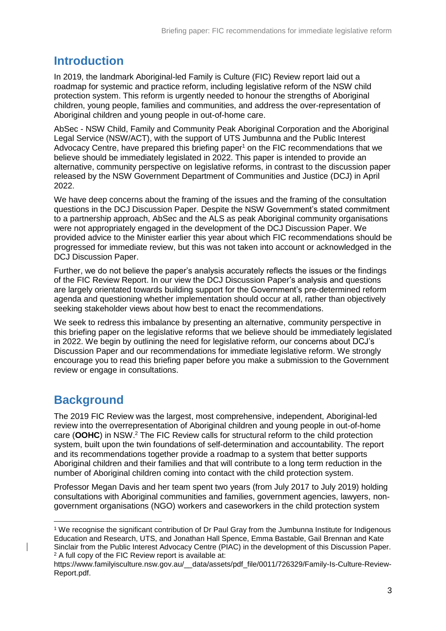# <span id="page-2-0"></span>**Introduction**

In 2019, the landmark Aboriginal-led Family is Culture (FIC) Review report laid out a roadmap for systemic and practice reform, including legislative reform of the NSW child protection system. This reform is urgently needed to honour the strengths of Aboriginal children, young people, families and communities, and address the over-representation of Aboriginal children and young people in out-of-home care.

AbSec - NSW Child, Family and Community Peak Aboriginal Corporation and the Aboriginal Legal Service (NSW/ACT), with the support of UTS Jumbunna and the Public Interest Advocacy Centre, have prepared this briefing paper<sup>1</sup> on the FIC recommendations that we believe should be immediately legislated in 2022. This paper is intended to provide an alternative, community perspective on legislative reforms, in contrast to the discussion paper released by the NSW Government Department of Communities and Justice (DCJ) in April 2022.

We have deep concerns about the framing of the issues and the framing of the consultation questions in the DCJ Discussion Paper. Despite the NSW Government's stated commitment to a partnership approach, AbSec and the ALS as peak Aboriginal community organisations were not appropriately engaged in the development of the DCJ Discussion Paper. We provided advice to the Minister earlier this year about which FIC recommendations should be progressed for immediate review, but this was not taken into account or acknowledged in the DCJ Discussion Paper.

Further, we do not believe the paper's analysis accurately reflects the issues or the findings of the FIC Review Report. In our view the DCJ Discussion Paper's analysis and questions are largely orientated towards building support for the Government's pre-determined reform agenda and questioning whether implementation should occur at all, rather than objectively seeking stakeholder views about how best to enact the recommendations.

We seek to redress this imbalance by presenting an alternative, community perspective in this briefing paper on the legislative reforms that we believe should be immediately legislated in 2022. We begin by outlining the need for legislative reform, our concerns about DCJ's Discussion Paper and our recommendations for immediate legislative reform. We strongly encourage you to read this briefing paper before you make a submission to the Government review or engage in consultations.

# <span id="page-2-1"></span>**Background**

 $\overline{a}$ 

The 2019 FIC Review was the largest, most comprehensive, independent, Aboriginal-led review into the overrepresentation of Aboriginal children and young people in out-of-home care (**OOHC**) in NSW. <sup>2</sup> The FIC Review calls for structural reform to the child protection system, built upon the twin foundations of self-determination and accountability. The report and its recommendations together provide a roadmap to a system that better supports Aboriginal children and their families and that will contribute to a long term reduction in the number of Aboriginal children coming into contact with the child protection system.

Professor Megan Davis and her team spent two years (from July 2017 to July 2019) holding consultations with Aboriginal communities and families, government agencies, lawyers, nongovernment organisations (NGO) workers and caseworkers in the child protection system

<sup>1</sup> We recognise the significant contribution of Dr Paul Gray from the Jumbunna Institute for Indigenous Education and Research, UTS, and Jonathan Hall Spence, Emma Bastable, Gail Brennan and Kate Sinclair from the Public Interest Advocacy Centre (PIAC) in the development of this Discussion Paper. <sup>2</sup> A full copy of the FIC Review report is available at:

https://www.familyisculture.nsw.gov.au/ data/assets/pdf file/0011/726329/Family-Is-Culture-Review-Report.pdf.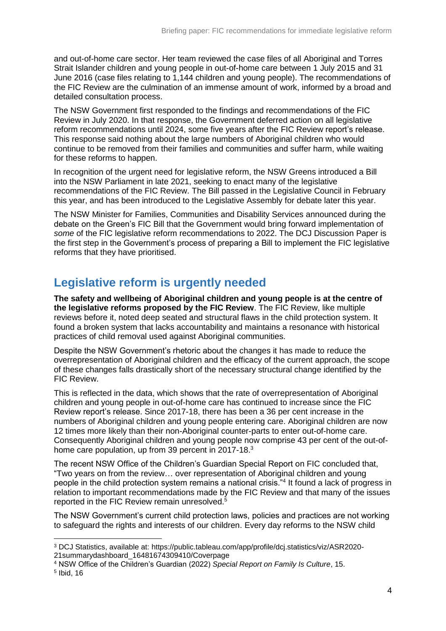and out-of-home care sector. Her team reviewed the case files of all Aboriginal and Torres Strait Islander children and young people in out-of-home care between 1 July 2015 and 31 June 2016 (case files relating to 1,144 children and young people). The recommendations of the FIC Review are the culmination of an immense amount of work, informed by a broad and detailed consultation process.

The NSW Government first responded to the findings and recommendations of the FIC Review in July 2020. In that response, the Government deferred action on all legislative reform recommendations until 2024, some five years after the FIC Review report's release. This response said nothing about the large numbers of Aboriginal children who would continue to be removed from their families and communities and suffer harm, while waiting for these reforms to happen.

In recognition of the urgent need for legislative reform, the NSW Greens introduced a Bill into the NSW Parliament in late 2021, seeking to enact many of the legislative recommendations of the FIC Review. The Bill passed in the Legislative Council in February this year, and has been introduced to the Legislative Assembly for debate later this year.

The NSW Minister for Families, Communities and Disability Services announced during the debate on the Green's FIC Bill that the Government would bring forward implementation of *some* of the FIC legislative reform recommendations to 2022. The DCJ Discussion Paper is the first step in the Government's process of preparing a Bill to implement the FIC legislative reforms that they have prioritised.

# <span id="page-3-0"></span>**Legislative reform is urgently needed**

**The safety and wellbeing of Aboriginal children and young people is at the centre of the legislative reforms proposed by the FIC Review**. The FIC Review, like multiple reviews before it, noted deep seated and structural flaws in the child protection system. It found a broken system that lacks accountability and maintains a resonance with historical practices of child removal used against Aboriginal communities.

Despite the NSW Government's rhetoric about the changes it has made to reduce the overrepresentation of Aboriginal children and the efficacy of the current approach, the scope of these changes falls drastically short of the necessary structural change identified by the FIC Review.

This is reflected in the data, which shows that the rate of overrepresentation of Aboriginal children and young people in out-of-home care has continued to increase since the FIC Review report's release. Since 2017-18, there has been a 36 per cent increase in the numbers of Aboriginal children and young people entering care. Aboriginal children are now 12 times more likely than their non-Aboriginal counter-parts to enter out-of-home care. Consequently Aboriginal children and young people now comprise 43 per cent of the out-ofhome care population, up from 39 percent in 2017-18.<sup>3</sup>

The recent NSW Office of the Children's Guardian Special Report on FIC concluded that, "Two years on from the review… over representation of Aboriginal children and young people in the child protection system remains a national crisis."<sup>4</sup> It found a lack of progress in relation to important recommendations made by the FIC Review and that many of the issues reported in the FIC Review remain unresolved.<sup>5</sup>

The NSW Government's current child protection laws, policies and practices are not working to safeguard the rights and interests of our children. Every day reforms to the NSW child

<sup>3</sup> DCJ Statistics, available at: https://public.tableau.com/app/profile/dcj.statistics/viz/ASR2020- 21summarydashboard\_16481674309410/Coverpage

<sup>4</sup> NSW Office of the Children's Guardian (2022) *Special Report on Family Is Culture*, 15.

<sup>5</sup> Ibid, 16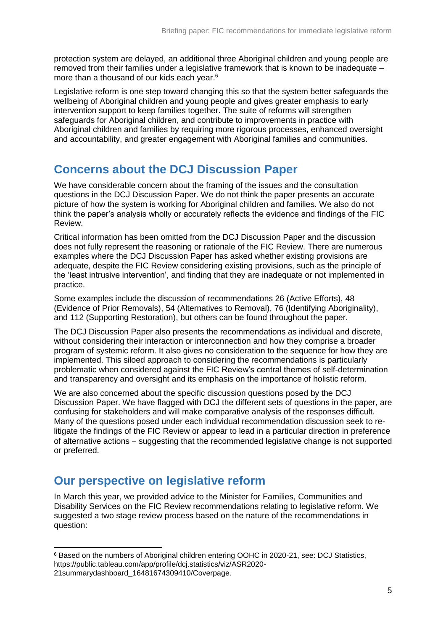protection system are delayed, an additional three Aboriginal children and young people are removed from their families under a legislative framework that is known to be inadequate – more than a thousand of our kids each year. 6

Legislative reform is one step toward changing this so that the system better safeguards the wellbeing of Aboriginal children and young people and gives greater emphasis to early intervention support to keep families together. The suite of reforms will strengthen safeguards for Aboriginal children, and contribute to improvements in practice with Aboriginal children and families by requiring more rigorous processes, enhanced oversight and accountability, and greater engagement with Aboriginal families and communities.

# <span id="page-4-0"></span>**Concerns about the DCJ Discussion Paper**

We have considerable concern about the framing of the issues and the consultation questions in the DCJ Discussion Paper. We do not think the paper presents an accurate picture of how the system is working for Aboriginal children and families. We also do not think the paper's analysis wholly or accurately reflects the evidence and findings of the FIC Review.

Critical information has been omitted from the DCJ Discussion Paper and the discussion does not fully represent the reasoning or rationale of the FIC Review. There are numerous examples where the DCJ Discussion Paper has asked whether existing provisions are adequate, despite the FIC Review considering existing provisions, such as the principle of the 'least intrusive intervention', and finding that they are inadequate or not implemented in practice.

Some examples include the discussion of recommendations 26 (Active Efforts), 48 (Evidence of Prior Removals), 54 (Alternatives to Removal), 76 (Identifying Aboriginality), and 112 (Supporting Restoration), but others can be found throughout the paper.

The DCJ Discussion Paper also presents the recommendations as individual and discrete, without considering their interaction or interconnection and how they comprise a broader program of systemic reform. It also gives no consideration to the sequence for how they are implemented. This siloed approach to considering the recommendations is particularly problematic when considered against the FIC Review's central themes of self-determination and transparency and oversight and its emphasis on the importance of holistic reform.

We are also concerned about the specific discussion questions posed by the DCJ Discussion Paper. We have flagged with DCJ the different sets of questions in the paper, are confusing for stakeholders and will make comparative analysis of the responses difficult. Many of the questions posed under each individual recommendation discussion seek to relitigate the findings of the FIC Review or appear to lead in a particular direction in preference of alternative actions  $-$  suggesting that the recommended legislative change is not supported or preferred.

# <span id="page-4-1"></span>**Our perspective on legislative reform**

In March this year, we provided advice to the Minister for Families, Communities and Disability Services on the FIC Review recommendations relating to legislative reform. We suggested a two stage review process based on the nature of the recommendations in question:

<sup>-</sup><sup>6</sup> Based on the numbers of Aboriginal children entering OOHC in 2020-21, see: DCJ Statistics, https://public.tableau.com/app/profile/dcj.statistics/viz/ASR2020-

<sup>21</sup>summarydashboard\_16481674309410/Coverpage.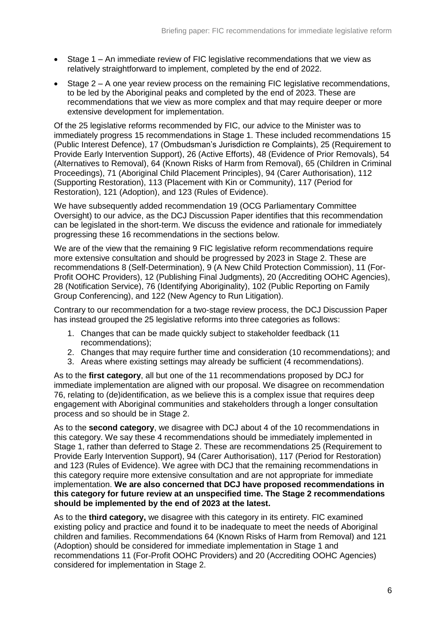- Stage 1 An immediate review of FIC legislative recommendations that we view as relatively straightforward to implement, completed by the end of 2022.
- Stage 2 A one year review process on the remaining FIC legislative recommendations, to be led by the Aboriginal peaks and completed by the end of 2023. These are recommendations that we view as more complex and that may require deeper or more extensive development for implementation.

Of the 25 legislative reforms recommended by FIC, our advice to the Minister was to immediately progress 15 recommendations in Stage 1. These included recommendations 15 (Public Interest Defence), 17 (Ombudsman's Jurisdiction re Complaints), 25 (Requirement to Provide Early Intervention Support), 26 (Active Efforts), 48 (Evidence of Prior Removals), 54 (Alternatives to Removal), 64 (Known Risks of Harm from Removal), 65 (Children in Criminal Proceedings), 71 (Aboriginal Child Placement Principles), 94 (Carer Authorisation), 112 (Supporting Restoration), 113 (Placement with Kin or Community), 117 (Period for Restoration), 121 (Adoption), and 123 (Rules of Evidence).

We have subsequently added recommendation 19 (OCG Parliamentary Committee Oversight) to our advice, as the DCJ Discussion Paper identifies that this recommendation can be legislated in the short-term. We discuss the evidence and rationale for immediately progressing these 16 recommendations in the sections below.

We are of the view that the remaining 9 FIC legislative reform recommendations require more extensive consultation and should be progressed by 2023 in Stage 2. These are recommendations 8 (Self-Determination), 9 (A New Child Protection Commission), 11 (For-Profit OOHC Providers), 12 (Publishing Final Judgments), 20 (Accrediting OOHC Agencies), 28 (Notification Service), 76 (Identifying Aboriginality), 102 (Public Reporting on Family Group Conferencing), and 122 (New Agency to Run Litigation).

Contrary to our recommendation for a two-stage review process, the DCJ Discussion Paper has instead grouped the 25 legislative reforms into three categories as follows:

- 1. Changes that can be made quickly subject to stakeholder feedback (11 recommendations);
- 2. Changes that may require further time and consideration (10 recommendations); and
- 3. Areas where existing settings may already be sufficient (4 recommendations).

As to the **first category**, all but one of the 11 recommendations proposed by DCJ for immediate implementation are aligned with our proposal. We disagree on recommendation 76, relating to (de)identification, as we believe this is a complex issue that requires deep engagement with Aboriginal communities and stakeholders through a longer consultation process and so should be in Stage 2.

As to the **second category**, we disagree with DCJ about 4 of the 10 recommendations in this category. We say these 4 recommendations should be immediately implemented in Stage 1, rather than deferred to Stage 2. These are recommendations 25 (Requirement to Provide Early Intervention Support), 94 (Carer Authorisation), 117 (Period for Restoration) and 123 (Rules of Evidence). We agree with DCJ that the remaining recommendations in this category require more extensive consultation and are not appropriate for immediate implementation. **We are also concerned that DCJ have proposed recommendations in this category for future review at an unspecified time. The Stage 2 recommendations should be implemented by the end of 2023 at the latest.**

As to the **third category,** we disagree with this category in its entirety. FIC examined existing policy and practice and found it to be inadequate to meet the needs of Aboriginal children and families. Recommendations 64 (Known Risks of Harm from Removal) and 121 (Adoption) should be considered for immediate implementation in Stage 1 and recommendations 11 (For-Profit OOHC Providers) and 20 (Accrediting OOHC Agencies) considered for implementation in Stage 2.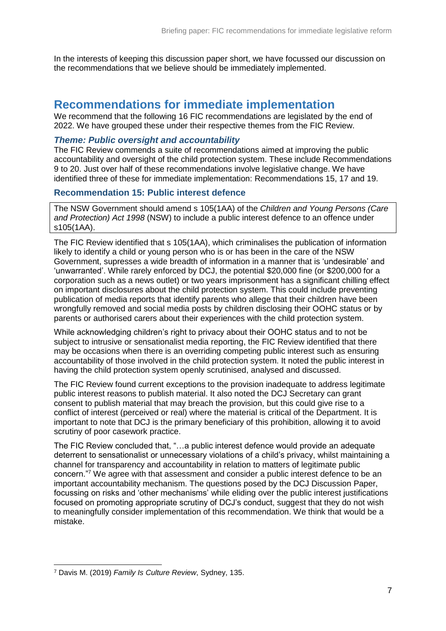In the interests of keeping this discussion paper short, we have focussed our discussion on the recommendations that we believe should be immediately implemented.

# <span id="page-6-0"></span>**Recommendations for immediate implementation**

We recommend that the following 16 FIC recommendations are legislated by the end of 2022. We have grouped these under their respective themes from the FIC Review.

#### <span id="page-6-1"></span>*Theme: Public oversight and accountability*

The FIC Review commends a suite of recommendations aimed at improving the public accountability and oversight of the child protection system. These include Recommendations 9 to 20. Just over half of these recommendations involve legislative change. We have identified three of these for immediate implementation: Recommendations 15, 17 and 19.

#### <span id="page-6-2"></span>**Recommendation 15: Public interest defence**

The NSW Government should amend s 105(1AA) of the *Children and Young Persons (Care and Protection) Act 1998* (NSW) to include a public interest defence to an offence under s105(1AA).

The FIC Review identified that s 105(1AA), which criminalises the publication of information likely to identify a child or young person who is or has been in the care of the NSW Government, supresses a wide breadth of information in a manner that is 'undesirable' and 'unwarranted'. While rarely enforced by DCJ, the potential \$20,000 fine (or \$200,000 for a corporation such as a news outlet) or two years imprisonment has a significant chilling effect on important disclosures about the child protection system. This could include preventing publication of media reports that identify parents who allege that their children have been wrongfully removed and social media posts by children disclosing their OOHC status or by parents or authorised carers about their experiences with the child protection system.

While acknowledging children's right to privacy about their OOHC status and to not be subject to intrusive or sensationalist media reporting, the FIC Review identified that there may be occasions when there is an overriding competing public interest such as ensuring accountability of those involved in the child protection system. It noted the public interest in having the child protection system openly scrutinised, analysed and discussed.

The FIC Review found current exceptions to the provision inadequate to address legitimate public interest reasons to publish material. It also noted the DCJ Secretary can grant consent to publish material that may breach the provision, but this could give rise to a conflict of interest (perceived or real) where the material is critical of the Department. It is important to note that DCJ is the primary beneficiary of this prohibition, allowing it to avoid scrutiny of poor casework practice.

The FIC Review concluded that, "…a public interest defence would provide an adequate deterrent to sensationalist or unnecessary violations of a child's privacy, whilst maintaining a channel for transparency and accountability in relation to matters of legitimate public concern."<sup>7</sup> We agree with that assessment and consider a public interest defence to be an important accountability mechanism. The questions posed by the DCJ Discussion Paper, focussing on risks and 'other mechanisms' while eliding over the public interest justifications focused on promoting appropriate scrutiny of DCJ's conduct, suggest that they do not wish to meaningfully consider implementation of this recommendation. We think that would be a mistake.

<sup>-</sup><sup>7</sup> Davis M. (2019) *Family Is Culture Review*, Sydney, 135.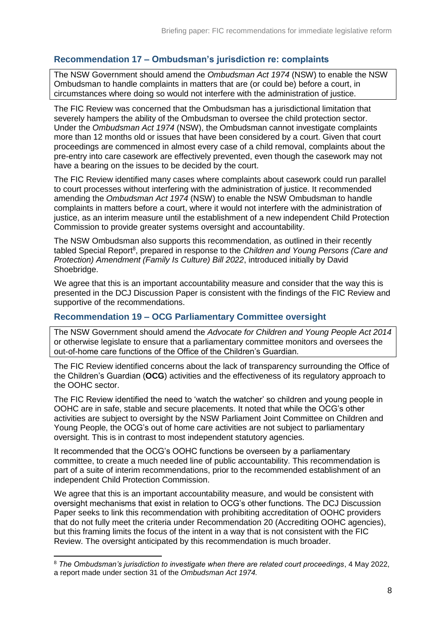# <span id="page-7-0"></span>**Recommendation 17 – Ombudsman's jurisdiction re: complaints**

The NSW Government should amend the *Ombudsman Act 1974* (NSW) to enable the NSW Ombudsman to handle complaints in matters that are (or could be) before a court, in circumstances where doing so would not interfere with the administration of justice.

The FIC Review was concerned that the Ombudsman has a jurisdictional limitation that severely hampers the ability of the Ombudsman to oversee the child protection sector. Under the *Ombudsman Act 1974* (NSW), the Ombudsman cannot investigate complaints more than 12 months old or issues that have been considered by a court. Given that court proceedings are commenced in almost every case of a child removal, complaints about the pre-entry into care casework are effectively prevented, even though the casework may not have a bearing on the issues to be decided by the court.

The FIC Review identified many cases where complaints about casework could run parallel to court processes without interfering with the administration of justice. It recommended amending the *Ombudsman Act 1974* (NSW) to enable the NSW Ombudsman to handle complaints in matters before a court, where it would not interfere with the administration of justice, as an interim measure until the establishment of a new independent Child Protection Commission to provide greater systems oversight and accountability.

The NSW Ombudsman also supports this recommendation, as outlined in their recently tabled Special Report<sup>8</sup>, prepared in response to the *Children and Young Persons (Care and Protection) Amendment (Family Is Culture) Bill 2022*, introduced initially by David Shoebridge.

We agree that this is an important accountability measure and consider that the way this is presented in the DCJ Discussion Paper is consistent with the findings of the FIC Review and supportive of the recommendations.

#### <span id="page-7-1"></span>**Recommendation 19 – OCG Parliamentary Committee oversight**

The NSW Government should amend the *Advocate for Children and Young People Act 2014* or otherwise legislate to ensure that a parliamentary committee monitors and oversees the out-of-home care functions of the Office of the Children's Guardian.

The FIC Review identified concerns about the lack of transparency surrounding the Office of the Children's Guardian (**OCG**) activities and the effectiveness of its regulatory approach to the OOHC sector.

The FIC Review identified the need to 'watch the watcher' so children and young people in OOHC are in safe, stable and secure placements. It noted that while the OCG's other activities are subject to oversight by the NSW Parliament Joint Committee on Children and Young People, the OCG's out of home care activities are not subject to parliamentary oversight. This is in contrast to most independent statutory agencies.

It recommended that the OCG's OOHC functions be overseen by a parliamentary committee, to create a much needed line of public accountability. This recommendation is part of a suite of interim recommendations, prior to the recommended establishment of an independent Child Protection Commission.

We agree that this is an important accountability measure, and would be consistent with oversight mechanisms that exist in relation to OCG's other functions. The DCJ Discussion Paper seeks to link this recommendation with prohibiting accreditation of OOHC providers that do not fully meet the criteria under Recommendation 20 (Accrediting OOHC agencies), but this framing limits the focus of the intent in a way that is not consistent with the FIC Review. The oversight anticipated by this recommendation is much broader.

<sup>8</sup> *The Ombudsman's jurisdiction to investigate when there are related court proceedings*, 4 May 2022, a report made under section 31 of the *Ombudsman Act 1974.*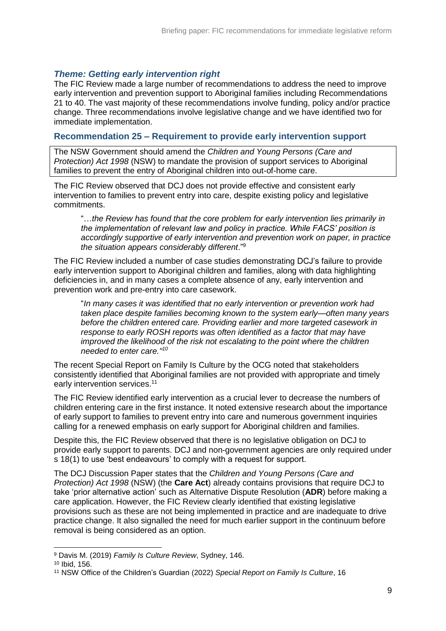### <span id="page-8-0"></span>*Theme: Getting early intervention right*

The FIC Review made a large number of recommendations to address the need to improve early intervention and prevention support to Aboriginal families including Recommendations 21 to 40. The vast majority of these recommendations involve funding, policy and/or practice change. Three recommendations involve legislative change and we have identified two for immediate implementation.

#### <span id="page-8-1"></span>**Recommendation 25 – Requirement to provide early intervention support**

The NSW Government should amend the *Children and Young Persons (Care and Protection) Act 1998* (NSW) to mandate the provision of support services to Aboriginal families to prevent the entry of Aboriginal children into out-of-home care.

The FIC Review observed that DCJ does not provide effective and consistent early intervention to families to prevent entry into care, despite existing policy and legislative commitments.

"…*the Review has found that the core problem for early intervention lies primarily in the implementation of relevant law and policy in practice. While FACS' position is accordingly supportive of early intervention and prevention work on paper, in practice the situation appears considerably different*."<sup>9</sup>

The FIC Review included a number of case studies demonstrating DCJ's failure to provide early intervention support to Aboriginal children and families, along with data highlighting deficiencies in, and in many cases a complete absence of any, early intervention and prevention work and pre-entry into care casework.

"*In many cases it was identified that no early intervention or prevention work had taken place despite families becoming known to the system early—often many years before the children entered care. Providing earlier and more targeted casework in response to early ROSH reports was often identified as a factor that may have improved the likelihood of the risk not escalating to the point where the children needed to enter care." 10*

The recent Special Report on Family Is Culture by the OCG noted that stakeholders consistently identified that Aboriginal families are not provided with appropriate and timely early intervention services.<sup>11</sup>

The FIC Review identified early intervention as a crucial lever to decrease the numbers of children entering care in the first instance. It noted extensive research about the importance of early support to families to prevent entry into care and numerous government inquiries calling for a renewed emphasis on early support for Aboriginal children and families.

Despite this, the FIC Review observed that there is no legislative obligation on DCJ to provide early support to parents. DCJ and non-government agencies are only required under s 18(1) to use 'best endeavours' to comply with a request for support.

The DCJ Discussion Paper states that the *Children and Young Persons (Care and Protection) Act 1998* (NSW) (the **Care Act**) already contains provisions that require DCJ to take 'prior alternative action' such as Alternative Dispute Resolution (**ADR**) before making a care application. However, the FIC Review clearly identified that existing legislative provisions such as these are not being implemented in practice and are inadequate to drive practice change. It also signalled the need for much earlier support in the continuum before removal is being considered as an option.

<sup>9</sup> Davis M. (2019) *Family Is Culture Review*, Sydney, 146.

<sup>10</sup> Ibid, 156.

<sup>11</sup> NSW Office of the Children's Guardian (2022) *Special Report on Family Is Culture*, 16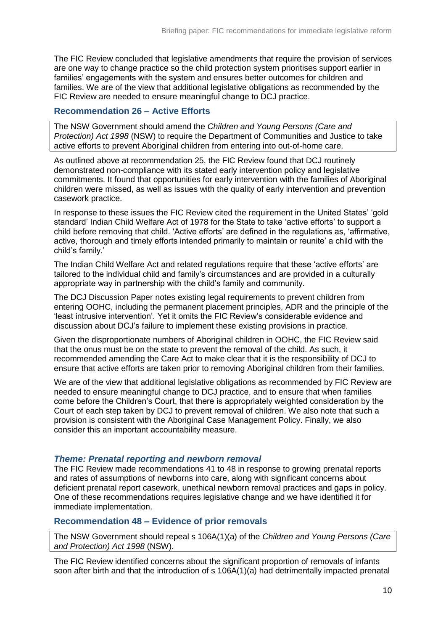The FIC Review concluded that legislative amendments that require the provision of services are one way to change practice so the child protection system prioritises support earlier in families' engagements with the system and ensures better outcomes for children and families. We are of the view that additional legislative obligations as recommended by the FIC Review are needed to ensure meaningful change to DCJ practice.

### <span id="page-9-0"></span>**Recommendation 26 – Active Efforts**

The NSW Government should amend the *Children and Young Persons (Care and Protection) Act 1998* (NSW) to require the Department of Communities and Justice to take active efforts to prevent Aboriginal children from entering into out-of-home care.

As outlined above at recommendation 25, the FIC Review found that DCJ routinely demonstrated non-compliance with its stated early intervention policy and legislative commitments. It found that opportunities for early intervention with the families of Aboriginal children were missed, as well as issues with the quality of early intervention and prevention casework practice.

In response to these issues the FIC Review cited the requirement in the United States' 'gold standard' Indian Child Welfare Act of 1978 for the State to take 'active efforts' to support a child before removing that child. 'Active efforts' are defined in the regulations as, 'affirmative, active, thorough and timely efforts intended primarily to maintain or reunite' a child with the child's family.'

The Indian Child Welfare Act and related regulations require that these 'active efforts' are tailored to the individual child and family's circumstances and are provided in a culturally appropriate way in partnership with the child's family and community.

The DCJ Discussion Paper notes existing legal requirements to prevent children from entering OOHC, including the permanent placement principles, ADR and the principle of the 'least intrusive intervention'. Yet it omits the FIC Review's considerable evidence and discussion about DCJ's failure to implement these existing provisions in practice.

Given the disproportionate numbers of Aboriginal children in OOHC, the FIC Review said that the onus must be on the state to prevent the removal of the child. As such, it recommended amending the Care Act to make clear that it is the responsibility of DCJ to ensure that active efforts are taken prior to removing Aboriginal children from their families.

We are of the view that additional legislative obligations as recommended by FIC Review are needed to ensure meaningful change to DCJ practice, and to ensure that when families come before the Children's Court, that there is appropriately weighted consideration by the Court of each step taken by DCJ to prevent removal of children. We also note that such a provision is consistent with the Aboriginal Case Management Policy. Finally, we also consider this an important accountability measure.

#### <span id="page-9-1"></span>*Theme: Prenatal reporting and newborn removal*

The FIC Review made recommendations 41 to 48 in response to growing prenatal reports and rates of assumptions of newborns into care, along with significant concerns about deficient prenatal report casework, unethical newborn removal practices and gaps in policy. One of these recommendations requires legislative change and we have identified it for immediate implementation.

## <span id="page-9-2"></span>**Recommendation 48 – Evidence of prior removals**

The NSW Government should repeal s 106A(1)(a) of the *Children and Young Persons (Care and Protection) Act 1998* (NSW).

The FIC Review identified concerns about the significant proportion of removals of infants soon after birth and that the introduction of s 106A(1)(a) had detrimentally impacted prenatal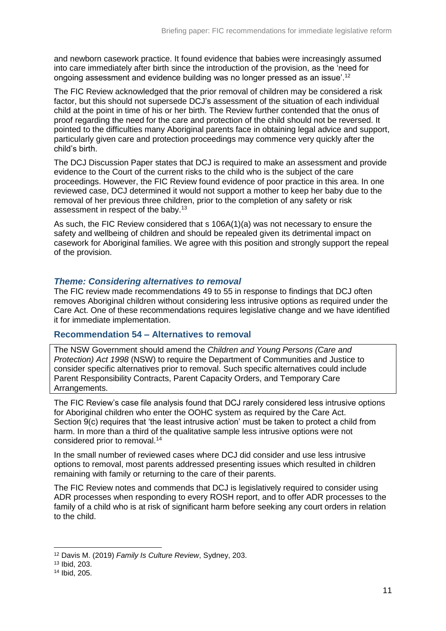and newborn casework practice. It found evidence that babies were increasingly assumed into care immediately after birth since the introduction of the provision, as the 'need for ongoing assessment and evidence building was no longer pressed as an issue'.<sup>12</sup>

The FIC Review acknowledged that the prior removal of children may be considered a risk factor, but this should not supersede DCJ's assessment of the situation of each individual child at the point in time of his or her birth. The Review further contended that the onus of proof regarding the need for the care and protection of the child should not be reversed. It pointed to the difficulties many Aboriginal parents face in obtaining legal advice and support, particularly given care and protection proceedings may commence very quickly after the child's birth.

The DCJ Discussion Paper states that DCJ is required to make an assessment and provide evidence to the Court of the current risks to the child who is the subject of the care proceedings. However, the FIC Review found evidence of poor practice in this area. In one reviewed case, DCJ determined it would not support a mother to keep her baby due to the removal of her previous three children, prior to the completion of any safety or risk assessment in respect of the baby.<sup>13</sup>

As such, the FIC Review considered that s 106A(1)(a) was not necessary to ensure the safety and wellbeing of children and should be repealed given its detrimental impact on casework for Aboriginal families. We agree with this position and strongly support the repeal of the provision.

### <span id="page-10-0"></span>*Theme: Considering alternatives to removal*

The FIC review made recommendations 49 to 55 in response to findings that DCJ often removes Aboriginal children without considering less intrusive options as required under the Care Act. One of these recommendations requires legislative change and we have identified it for immediate implementation.

#### <span id="page-10-1"></span>**Recommendation 54 – Alternatives to removal**

The NSW Government should amend the *Children and Young Persons (Care and Protection) Act 1998* (NSW) to require the Department of Communities and Justice to consider specific alternatives prior to removal. Such specific alternatives could include Parent Responsibility Contracts, Parent Capacity Orders, and Temporary Care Arrangements.

The FIC Review's case file analysis found that DCJ rarely considered less intrusive options for Aboriginal children who enter the OOHC system as required by the Care Act. Section 9(c) requires that 'the least intrusive action' must be taken to protect a child from harm. In more than a third of the qualitative sample less intrusive options were not considered prior to removal.<sup>14</sup>

In the small number of reviewed cases where DCJ did consider and use less intrusive options to removal, most parents addressed presenting issues which resulted in children remaining with family or returning to the care of their parents.

The FIC Review notes and commends that DCJ is legislatively required to consider using ADR processes when responding to every ROSH report, and to offer ADR processes to the family of a child who is at risk of significant harm before seeking any court orders in relation to the child.

<sup>12</sup> Davis M. (2019) *Family Is Culture Review*, Sydney, 203.

<sup>13</sup> Ibid, 203.

<sup>14</sup> Ibid, 205.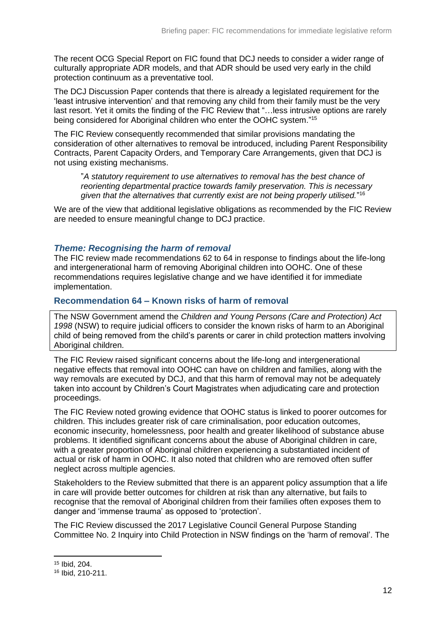The recent OCG Special Report on FIC found that DCJ needs to consider a wider range of culturally appropriate ADR models, and that ADR should be used very early in the child protection continuum as a preventative tool.

The DCJ Discussion Paper contends that there is already a legislated requirement for the 'least intrusive intervention' and that removing any child from their family must be the very last resort. Yet it omits the finding of the FIC Review that "... less intrusive options are rarely being considered for Aboriginal children who enter the OOHC system." 15

The FIC Review consequently recommended that similar provisions mandating the consideration of other alternatives to removal be introduced, including Parent Responsibility Contracts, Parent Capacity Orders, and Temporary Care Arrangements, given that DCJ is not using existing mechanisms.

"*A statutory requirement to use alternatives to removal has the best chance of reorienting departmental practice towards family preservation. This is necessary given that the alternatives that currently exist are not being properly utilised.*" 16

We are of the view that additional legislative obligations as recommended by the FIC Review are needed to ensure meaningful change to DCJ practice.

#### <span id="page-11-0"></span>*Theme: Recognising the harm of removal*

The FIC review made recommendations 62 to 64 in response to findings about the life-long and intergenerational harm of removing Aboriginal children into OOHC. One of these recommendations requires legislative change and we have identified it for immediate implementation.

#### <span id="page-11-1"></span>**Recommendation 64 – Known risks of harm of removal**

The NSW Government amend the *Children and Young Persons (Care and Protection) Act 1998* (NSW) to require judicial officers to consider the known risks of harm to an Aboriginal child of being removed from the child's parents or carer in child protection matters involving Aboriginal children.

The FIC Review raised significant concerns about the life-long and intergenerational negative effects that removal into OOHC can have on children and families, along with the way removals are executed by DCJ, and that this harm of removal may not be adequately taken into account by Children's Court Magistrates when adjudicating care and protection proceedings.

The FIC Review noted growing evidence that OOHC status is linked to poorer outcomes for children. This includes greater risk of care criminalisation, poor education outcomes, economic insecurity, homelessness, poor health and greater likelihood of substance abuse problems. It identified significant concerns about the abuse of Aboriginal children in care, with a greater proportion of Aboriginal children experiencing a substantiated incident of actual or risk of harm in OOHC. It also noted that children who are removed often suffer neglect across multiple agencies.

Stakeholders to the Review submitted that there is an apparent policy assumption that a life in care will provide better outcomes for children at risk than any alternative, but fails to recognise that the removal of Aboriginal children from their families often exposes them to danger and 'immense trauma' as opposed to 'protection'.

The FIC Review discussed the 2017 Legislative Council General Purpose Standing Committee No. 2 Inquiry into Child Protection in NSW findings on the 'harm of removal'. The

<sup>15</sup> Ibid, 204.

<sup>16</sup> Ibid, 210-211.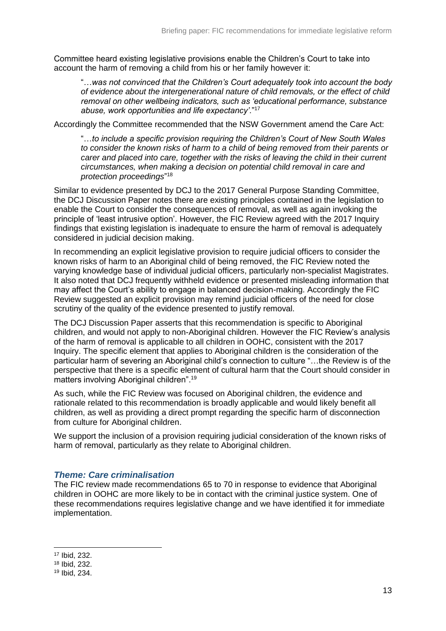Committee heard existing legislative provisions enable the Children's Court to take into account the harm of removing a child from his or her family however it:

"…*was not convinced that the Children's Court adequately took into account the body of evidence about the intergenerational nature of child removals, or the effect of child removal on other wellbeing indicators, such as 'educational performance, substance abuse, work opportunities and life expectancy'*."<sup>17</sup>

Accordingly the Committee recommended that the NSW Government amend the Care Act:

"…*to include a specific provision requiring the Children's Court of New South Wales to consider the known risks of harm to a child of being removed from their parents or carer and placed into care, together with the risks of leaving the child in their current circumstances, when making a decision on potential child removal in care and protection proceedings*" 18

Similar to evidence presented by DCJ to the 2017 General Purpose Standing Committee, the DCJ Discussion Paper notes there are existing principles contained in the legislation to enable the Court to consider the consequences of removal, as well as again invoking the principle of 'least intrusive option'. However, the FIC Review agreed with the 2017 Inquiry findings that existing legislation is inadequate to ensure the harm of removal is adequately considered in judicial decision making.

In recommending an explicit legislative provision to require judicial officers to consider the known risks of harm to an Aboriginal child of being removed, the FIC Review noted the varying knowledge base of individual judicial officers, particularly non-specialist Magistrates. It also noted that DCJ frequently withheld evidence or presented misleading information that may affect the Court's ability to engage in balanced decision-making. Accordingly the FIC Review suggested an explicit provision may remind judicial officers of the need for close scrutiny of the quality of the evidence presented to justify removal.

The DCJ Discussion Paper asserts that this recommendation is specific to Aboriginal children, and would not apply to non-Aboriginal children. However the FIC Review's analysis of the harm of removal is applicable to all children in OOHC, consistent with the 2017 Inquiry. The specific element that applies to Aboriginal children is the consideration of the particular harm of severing an Aboriginal child's connection to culture "…the Review is of the perspective that there is a specific element of cultural harm that the Court should consider in matters involving Aboriginal children". 19

As such, while the FIC Review was focused on Aboriginal children, the evidence and rationale related to this recommendation is broadly applicable and would likely benefit all children, as well as providing a direct prompt regarding the specific harm of disconnection from culture for Aboriginal children.

We support the inclusion of a provision requiring judicial consideration of the known risks of harm of removal, particularly as they relate to Aboriginal children.

### <span id="page-12-0"></span>*Theme: Care criminalisation*

The FIC review made recommendations 65 to 70 in response to evidence that Aboriginal children in OOHC are more likely to be in contact with the criminal justice system. One of these recommendations requires legislative change and we have identified it for immediate implementation.

<sup>17</sup> Ibid, 232.

<sup>18</sup> Ibid, 232.

<sup>19</sup> Ibid, 234.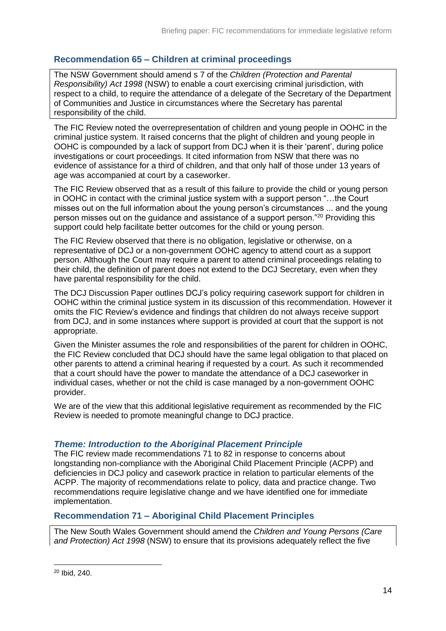# <span id="page-13-0"></span>**Recommendation 65 – Children at criminal proceedings**

The NSW Government should amend s 7 of the *Children (Protection and Parental Responsibility) Act 1998* (NSW) to enable a court exercising criminal jurisdiction, with respect to a child, to require the attendance of a delegate of the Secretary of the Department of Communities and Justice in circumstances where the Secretary has parental responsibility of the child.

The FIC Review noted the overrepresentation of children and young people in OOHC in the criminal justice system. It raised concerns that the plight of children and young people in OOHC is compounded by a lack of support from DCJ when it is their 'parent', during police investigations or court proceedings. It cited information from NSW that there was no evidence of assistance for a third of children, and that only half of those under 13 years of age was accompanied at court by a caseworker.

The FIC Review observed that as a result of this failure to provide the child or young person in OOHC in contact with the criminal justice system with a support person "…the Court misses out on the full information about the young person's circumstances ... and the young person misses out on the guidance and assistance of a support person."<sup>20</sup> Providing this support could help facilitate better outcomes for the child or young person.

The FIC Review observed that there is no obligation, legislative or otherwise, on a representative of DCJ or a non-government OOHC agency to attend court as a support person. Although the Court may require a parent to attend criminal proceedings relating to their child, the definition of parent does not extend to the DCJ Secretary, even when they have parental responsibility for the child.

The DCJ Discussion Paper outlines DCJ's policy requiring casework support for children in OOHC within the criminal justice system in its discussion of this recommendation. However it omits the FIC Review's evidence and findings that children do not always receive support from DCJ, and in some instances where support is provided at court that the support is not appropriate.

Given the Minister assumes the role and responsibilities of the parent for children in OOHC, the FIC Review concluded that DCJ should have the same legal obligation to that placed on other parents to attend a criminal hearing if requested by a court. As such it recommended that a court should have the power to mandate the attendance of a DCJ caseworker in individual cases, whether or not the child is case managed by a non-government OOHC provider.

We are of the view that this additional legislative requirement as recommended by the FIC Review is needed to promote meaningful change to DCJ practice.

### <span id="page-13-1"></span>*Theme: Introduction to the Aboriginal Placement Principle*

The FIC review made recommendations 71 to 82 in response to concerns about longstanding non-compliance with the Aboriginal Child Placement Principle (ACPP) and deficiencies in DCJ policy and casework practice in relation to particular elements of the ACPP. The majority of recommendations relate to policy, data and practice change. Two recommendations require legislative change and we have identified one for immediate implementation.

# <span id="page-13-2"></span>**Recommendation 71 – Aboriginal Child Placement Principles**

The New South Wales Government should amend the *Children and Young Persons (Care and Protection) Act 1998* (NSW) to ensure that its provisions adequately reflect the five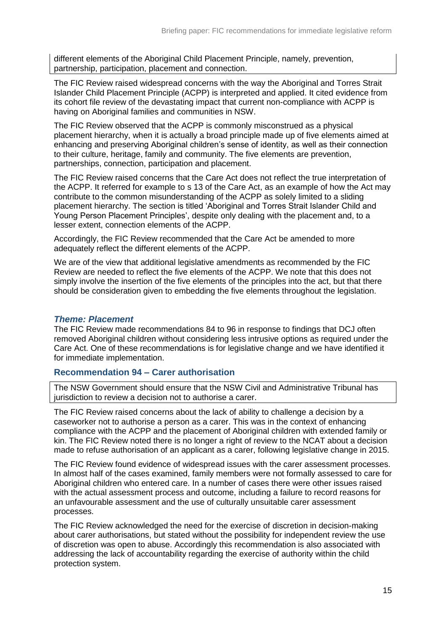different elements of the Aboriginal Child Placement Principle, namely, prevention, partnership, participation, placement and connection.

The FIC Review raised widespread concerns with the way the Aboriginal and Torres Strait Islander Child Placement Principle (ACPP) is interpreted and applied. It cited evidence from its cohort file review of the devastating impact that current non-compliance with ACPP is having on Aboriginal families and communities in NSW.

The FIC Review observed that the ACPP is commonly misconstrued as a physical placement hierarchy, when it is actually a broad principle made up of five elements aimed at enhancing and preserving Aboriginal children's sense of identity, as well as their connection to their culture, heritage, family and community. The five elements are prevention, partnerships, connection, participation and placement.

The FIC Review raised concerns that the Care Act does not reflect the true interpretation of the ACPP. It referred for example to s 13 of the Care Act, as an example of how the Act may contribute to the common misunderstanding of the ACPP as solely limited to a sliding placement hierarchy. The section is titled 'Aboriginal and Torres Strait Islander Child and Young Person Placement Principles', despite only dealing with the placement and, to a lesser extent, connection elements of the ACPP.

Accordingly, the FIC Review recommended that the Care Act be amended to more adequately reflect the different elements of the ACPP.

We are of the view that additional legislative amendments as recommended by the FIC Review are needed to reflect the five elements of the ACPP. We note that this does not simply involve the insertion of the five elements of the principles into the act, but that there should be consideration given to embedding the five elements throughout the legislation.

#### <span id="page-14-0"></span>*Theme: Placement*

The FIC Review made recommendations 84 to 96 in response to findings that DCJ often removed Aboriginal children without considering less intrusive options as required under the Care Act. One of these recommendations is for legislative change and we have identified it for immediate implementation.

### <span id="page-14-1"></span>**Recommendation 94 – Carer authorisation**

The NSW Government should ensure that the NSW Civil and Administrative Tribunal has jurisdiction to review a decision not to authorise a carer.

The FIC Review raised concerns about the lack of ability to challenge a decision by a caseworker not to authorise a person as a carer. This was in the context of enhancing compliance with the ACPP and the placement of Aboriginal children with extended family or kin. The FIC Review noted there is no longer a right of review to the NCAT about a decision made to refuse authorisation of an applicant as a carer, following legislative change in 2015.

The FIC Review found evidence of widespread issues with the carer assessment processes. In almost half of the cases examined, family members were not formally assessed to care for Aboriginal children who entered care. In a number of cases there were other issues raised with the actual assessment process and outcome, including a failure to record reasons for an unfavourable assessment and the use of culturally unsuitable carer assessment processes.

The FIC Review acknowledged the need for the exercise of discretion in decision-making about carer authorisations, but stated without the possibility for independent review the use of discretion was open to abuse. Accordingly this recommendation is also associated with addressing the lack of accountability regarding the exercise of authority within the child protection system.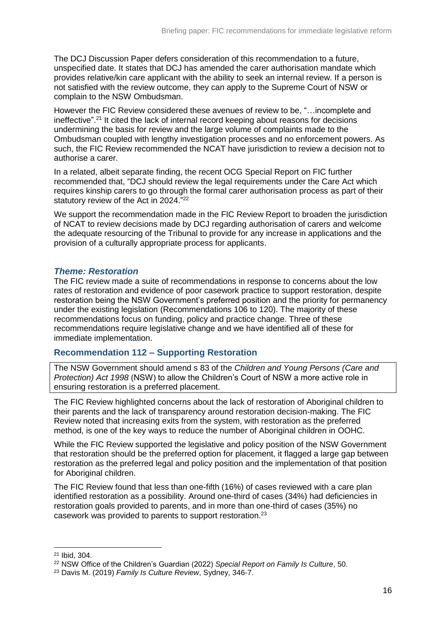The DCJ Discussion Paper defers consideration of this recommendation to a future, unspecified date. It states that DCJ has amended the carer authorisation mandate which provides relative/kin care applicant with the ability to seek an internal review. If a person is not satisfied with the review outcome, they can apply to the Supreme Court of NSW or complain to the NSW Ombudsman.

However the FIC Review considered these avenues of review to be, "…incomplete and ineffective".<sup>21</sup> It cited the lack of internal record keeping about reasons for decisions undermining the basis for review and the large volume of complaints made to the Ombudsman coupled with lengthy investigation processes and no enforcement powers. As such, the FIC Review recommended the NCAT have jurisdiction to review a decision not to authorise a carer.

In a related, albeit separate finding, the recent OCG Special Report on FIC further recommended that, "DCJ should review the legal requirements under the Care Act which requires kinship carers to go through the formal carer authorisation process as part of their statutory review of the Act in 2024."<sup>22</sup>

We support the recommendation made in the FIC Review Report to broaden the jurisdiction of NCAT to review decisions made by DCJ regarding authorisation of carers and welcome the adequate resourcing of the Tribunal to provide for any increase in applications and the provision of a culturally appropriate process for applicants.

### <span id="page-15-0"></span>*Theme: Restoration*

The FIC review made a suite of recommendations in response to concerns about the low rates of restoration and evidence of poor casework practice to support restoration, despite restoration being the NSW Government's preferred position and the priority for permanency under the existing legislation (Recommendations 106 to 120). The majority of these recommendations focus on funding, policy and practice change. Three of these recommendations require legislative change and we have identified all of these for immediate implementation.

## <span id="page-15-1"></span>**Recommendation 112 – Supporting Restoration**

The NSW Government should amend s 83 of the *Children and Young Persons (Care and Protection) Act 1998* (NSW) to allow the Children's Court of NSW a more active role in ensuring restoration is a preferred placement.

The FIC Review highlighted concerns about the lack of restoration of Aboriginal children to their parents and the lack of transparency around restoration decision-making. The FIC Review noted that increasing exits from the system, with restoration as the preferred method, is one of the key ways to reduce the number of Aboriginal children in OOHC.

While the FIC Review supported the legislative and policy position of the NSW Government that restoration should be the preferred option for placement, it flagged a large gap between restoration as the preferred legal and policy position and the implementation of that position for Aboriginal children.

The FIC Review found that less than one-fifth (16%) of cases reviewed with a care plan identified restoration as a possibility. Around one-third of cases (34%) had deficiencies in restoration goals provided to parents, and in more than one-third of cases (35%) no casework was provided to parents to support restoration.<sup>23</sup>

<sup>21</sup> Ibid, 304.

<sup>22</sup> NSW Office of the Children's Guardian (2022) *Special Report on Family Is Culture*, 50.

<sup>23</sup> Davis M. (2019) *Family Is Culture Review*, Sydney, 346-7.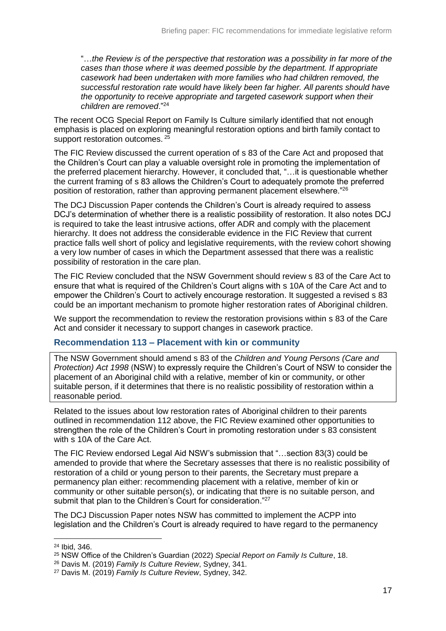"…*the Review is of the perspective that restoration was a possibility in far more of the cases than those where it was deemed possible by the department. If appropriate casework had been undertaken with more families who had children removed, the successful restoration rate would have likely been far higher. All parents should have the opportunity to receive appropriate and targeted casework support when their children are removed*."<sup>24</sup>

The recent OCG Special Report on Family Is Culture similarly identified that not enough emphasis is placed on exploring meaningful restoration options and birth family contact to support restoration outcomes. <sup>25</sup>

The FIC Review discussed the current operation of s 83 of the Care Act and proposed that the Children's Court can play a valuable oversight role in promoting the implementation of the preferred placement hierarchy. However, it concluded that, "…it is questionable whether the current framing of s 83 allows the Children's Court to adequately promote the preferred position of restoration, rather than approving permanent placement elsewhere."<sup>26</sup>

The DCJ Discussion Paper contends the Children's Court is already required to assess DCJ's determination of whether there is a realistic possibility of restoration. It also notes DCJ is required to take the least intrusive actions, offer ADR and comply with the placement hierarchy. It does not address the considerable evidence in the FIC Review that current practice falls well short of policy and legislative requirements, with the review cohort showing a very low number of cases in which the Department assessed that there was a realistic possibility of restoration in the care plan.

The FIC Review concluded that the NSW Government should review s 83 of the Care Act to ensure that what is required of the Children's Court aligns with s 10A of the Care Act and to empower the Children's Court to actively encourage restoration. It suggested a revised s 83 could be an important mechanism to promote higher restoration rates of Aboriginal children.

We support the recommendation to review the restoration provisions within s 83 of the Care Act and consider it necessary to support changes in casework practice.

## <span id="page-16-0"></span>**Recommendation 113 – Placement with kin or community**

The NSW Government should amend s 83 of the *Children and Young Persons (Care and Protection) Act 1998* (NSW) to expressly require the Children's Court of NSW to consider the placement of an Aboriginal child with a relative, member of kin or community, or other suitable person, if it determines that there is no realistic possibility of restoration within a reasonable period.

Related to the issues about low restoration rates of Aboriginal children to their parents outlined in recommendation 112 above, the FIC Review examined other opportunities to strengthen the role of the Children's Court in promoting restoration under s 83 consistent with s 10A of the Care Act.

The FIC Review endorsed Legal Aid NSW's submission that "…section 83(3) could be amended to provide that where the Secretary assesses that there is no realistic possibility of restoration of a child or young person to their parents, the Secretary must prepare a permanency plan either: recommending placement with a relative, member of kin or community or other suitable person(s), or indicating that there is no suitable person, and submit that plan to the Children's Court for consideration."<sup>27</sup>

The DCJ Discussion Paper notes NSW has committed to implement the ACPP into legislation and the Children's Court is already required to have regard to the permanency

<sup>24</sup> Ibid, 346.

<sup>25</sup> NSW Office of the Children's Guardian (2022) *Special Report on Family Is Culture*, 18.

<sup>26</sup> Davis M. (2019) *Family Is Culture Review*, Sydney, 341.

<sup>27</sup> Davis M. (2019) *Family Is Culture Review*, Sydney, 342.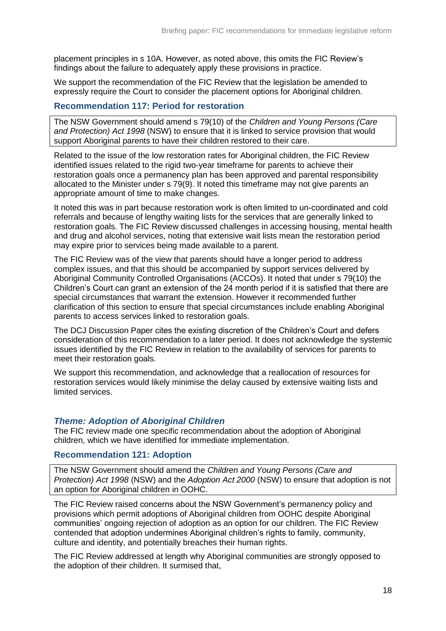placement principles in s 10A. However, as noted above, this omits the FIC Review's findings about the failure to adequately apply these provisions in practice.

We support the recommendation of the FIC Review that the legislation be amended to expressly require the Court to consider the placement options for Aboriginal children.

#### <span id="page-17-0"></span>**Recommendation 117: Period for restoration**

The NSW Government should amend s 79(10) of the *Children and Young Persons (Care and Protection) Act 1998* (NSW) to ensure that it is linked to service provision that would support Aboriginal parents to have their children restored to their care.

Related to the issue of the low restoration rates for Aboriginal children, the FIC Review identified issues related to the rigid two-year timeframe for parents to achieve their restoration goals once a permanency plan has been approved and parental responsibility allocated to the Minister under s 79(9). It noted this timeframe may not give parents an appropriate amount of time to make changes.

It noted this was in part because restoration work is often limited to un-coordinated and cold referrals and because of lengthy waiting lists for the services that are generally linked to restoration goals. The FIC Review discussed challenges in accessing housing, mental health and drug and alcohol services, noting that extensive wait lists mean the restoration period may expire prior to services being made available to a parent.

The FIC Review was of the view that parents should have a longer period to address complex issues, and that this should be accompanied by support services delivered by Aboriginal Community Controlled Organisations (ACCOs). It noted that under s 79(10) the Children's Court can grant an extension of the 24 month period if it is satisfied that there are special circumstances that warrant the extension. However it recommended further clarification of this section to ensure that special circumstances include enabling Aboriginal parents to access services linked to restoration goals.

The DCJ Discussion Paper cites the existing discretion of the Children's Court and defers consideration of this recommendation to a later period. It does not acknowledge the systemic issues identified by the FIC Review in relation to the availability of services for parents to meet their restoration goals.

We support this recommendation, and acknowledge that a reallocation of resources for restoration services would likely minimise the delay caused by extensive waiting lists and limited services.

### <span id="page-17-1"></span>*Theme: Adoption of Aboriginal Children*

The FIC review made one specific recommendation about the adoption of Aboriginal children, which we have identified for immediate implementation.

#### <span id="page-17-2"></span>**Recommendation 121: Adoption**

The NSW Government should amend the *Children and Young Persons (Care and Protection) Act 1998* (NSW) and the *Adoption Act 2000* (NSW) to ensure that adoption is not an option for Aboriginal children in OOHC.

The FIC Review raised concerns about the NSW Government's permanency policy and provisions which permit adoptions of Aboriginal children from OOHC despite Aboriginal communities' ongoing rejection of adoption as an option for our children. The FIC Review contended that adoption undermines Aboriginal children's rights to family, community, culture and identity, and potentially breaches their human rights.

The FIC Review addressed at length why Aboriginal communities are strongly opposed to the adoption of their children. It surmised that,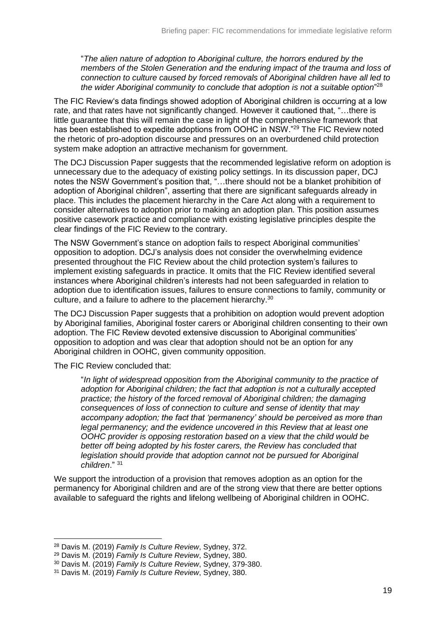"*The alien nature of adoption to Aboriginal culture, the horrors endured by the members of the Stolen Generation and the enduring impact of the trauma and loss of connection to culture caused by forced removals of Aboriginal children have all led to the wider Aboriginal community to conclude that adoption is not a suitable option*" 28

The FIC Review's data findings showed adoption of Aboriginal children is occurring at a low rate, and that rates have not significantly changed. However it cautioned that, "…there is little guarantee that this will remain the case in light of the comprehensive framework that has been established to expedite adoptions from OOHC in NSW."<sup>29</sup> The FIC Review noted the rhetoric of pro-adoption discourse and pressures on an overburdened child protection system make adoption an attractive mechanism for government.

The DCJ Discussion Paper suggests that the recommended legislative reform on adoption is unnecessary due to the adequacy of existing policy settings. In its discussion paper, DCJ notes the NSW Government's position that, "…there should not be a blanket prohibition of adoption of Aboriginal children", asserting that there are significant safeguards already in place. This includes the placement hierarchy in the Care Act along with a requirement to consider alternatives to adoption prior to making an adoption plan. This position assumes positive casework practice and compliance with existing legislative principles despite the clear findings of the FIC Review to the contrary.

The NSW Government's stance on adoption fails to respect Aboriginal communities' opposition to adoption. DCJ's analysis does not consider the overwhelming evidence presented throughout the FIC Review about the child protection system's failures to implement existing safeguards in practice. It omits that the FIC Review identified several instances where Aboriginal children's interests had not been safeguarded in relation to adoption due to identification issues, failures to ensure connections to family, community or culture, and a failure to adhere to the placement hierarchy.<sup>30</sup>

The DCJ Discussion Paper suggests that a prohibition on adoption would prevent adoption by Aboriginal families, Aboriginal foster carers or Aboriginal children consenting to their own adoption. The FIC Review devoted extensive discussion to Aboriginal communities' opposition to adoption and was clear that adoption should not be an option for any Aboriginal children in OOHC, given community opposition.

The FIC Review concluded that:

-

"*In light of widespread opposition from the Aboriginal community to the practice of adoption for Aboriginal children; the fact that adoption is not a culturally accepted practice; the history of the forced removal of Aboriginal children; the damaging consequences of loss of connection to culture and sense of identity that may accompany adoption; the fact that 'permanency' should be perceived as more than legal permanency; and the evidence uncovered in this Review that at least one OOHC provider is opposing restoration based on a view that the child would be better off being adopted by his foster carers, the Review has concluded that legislation should provide that adoption cannot not be pursued for Aboriginal children*." <sup>31</sup>

We support the introduction of a provision that removes adoption as an option for the permanency for Aboriginal children and are of the strong view that there are better options available to safeguard the rights and lifelong wellbeing of Aboriginal children in OOHC.

<sup>28</sup> Davis M. (2019) *Family Is Culture Review*, Sydney, 372.

<sup>29</sup> Davis M. (2019) *Family Is Culture Review*, Sydney, 380.

<sup>30</sup> Davis M. (2019) *Family Is Culture Review*, Sydney, 379-380.

<sup>31</sup> Davis M. (2019) *Family Is Culture Review*, Sydney, 380.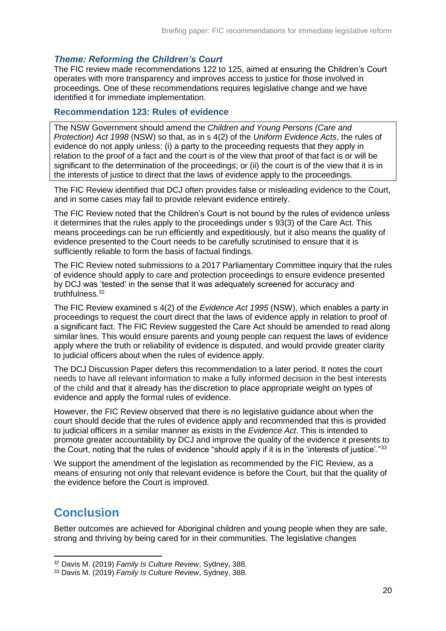#### <span id="page-19-0"></span>*Theme: Reforming the Children's Court*

The FIC review made recommendations 122 to 125, aimed at ensuring the Children's Court operates with more transparency and improves access to justice for those involved in proceedings. One of these recommendations requires legislative change and we have identified it for immediate implementation.

#### <span id="page-19-1"></span>**Recommendation 123: Rules of evidence**

The NSW Government should amend the *Children and Young Persons (Care and Protection) Act 1998* (NSW) so that, as in s 4(2) of the *Uniform Evidence Acts*, the rules of evidence do not apply unless: (i) a party to the proceeding requests that they apply in relation to the proof of a fact and the court is of the view that proof of that fact is or will be significant to the determination of the proceedings; or (ii) the court is of the view that it is in the interests of justice to direct that the laws of evidence apply to the proceedings.

The FIC Review identified that DCJ often provides false or misleading evidence to the Court, and in some cases may fail to provide relevant evidence entirely.

The FIC Review noted that the Children's Court is not bound by the rules of evidence unless it determines that the rules apply to the proceedings under s 93(3) of the Care Act. This means proceedings can be run efficiently and expeditiously, but it also means the quality of evidence presented to the Court needs to be carefully scrutinised to ensure that it is sufficiently reliable to form the basis of factual findings.

The FIC Review noted submissions to a 2017 Parliamentary Committee inquiry that the rules of evidence should apply to care and protection proceedings to ensure evidence presented by DCJ was 'tested' in the sense that it was adequately screened for accuracy and truthfulness.<sup>32</sup>

The FIC Review examined s 4(2) of the *Evidence Act 1995* (NSW), which enables a party in proceedings to request the court direct that the laws of evidence apply in relation to proof of a significant fact. The FIC Review suggested the Care Act should be amended to read along similar lines. This would ensure parents and young people can request the laws of evidence apply where the truth or reliability of evidence is disputed, and would provide greater clarity to judicial officers about when the rules of evidence apply.

The DCJ Discussion Paper defers this recommendation to a later period. It notes the court needs to have all relevant information to make a fully informed decision in the best interests of the child and that it already has the discretion to place appropriate weight on types of evidence and apply the formal rules of evidence.

However, the FIC Review observed that there is no legislative guidance about when the court should decide that the rules of evidence apply and recommended that this is provided to judicial officers in a similar manner as exists in the *Evidence Act*. This is intended to promote greater accountability by DCJ and improve the quality of the evidence it presents to the Court, noting that the rules of evidence "should apply if it is in the 'interests of justice'."<sup>33</sup>

We support the amendment of the legislation as recommended by the FIC Review, as a means of ensuring not only that relevant evidence is before the Court, but that the quality of the evidence before the Court is improved.

# <span id="page-19-2"></span>**Conclusion**

-

Better outcomes are achieved for Aboriginal children and young people when they are safe, strong and thriving by being cared for in their communities. The legislative changes

<sup>32</sup> Davis M. (2019) *Family Is Culture Review*, Sydney, 388.

<sup>33</sup> Davis M. (2019) *Family Is Culture Review*, Sydney, 388.